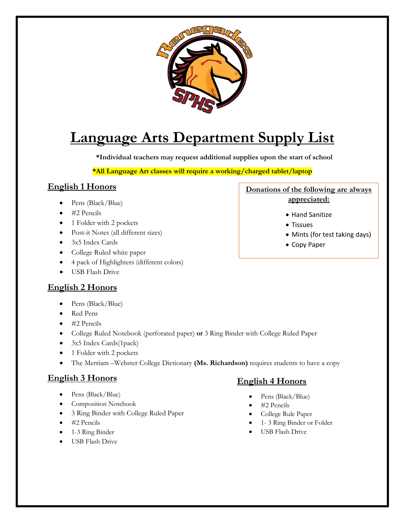

# **Language Arts Department Supply List**

**\*Individual teachers may request additional supplies upon the start of school**

**\*All Language Art classes will require a working/charged tablet/laptop**

## **English 1 Honors**

- Pens (Black/Blue)
- #2 Pencils
- 1 Folder with 2 pockets
- Post-it Notes (all different sizes)
- 3x5 Index Cards
- College Ruled white paper
- 4 pack of Highlighters (different colors)
- USB Flash Drive

## **English 2 Honors**

- Pens (Black/Blue)
- Red Pens
- #2 Pencils
- College Ruled Notebook (perforated paper) **or** 3 Ring Binder with College Ruled Paper
- 3x5 Index Cards(1pack)
- 1 Folder with 2 pockets
- The Merriam –Webster College Dictionary **(Ms. Richardson)** requires students to have a copy

## **English 3 Honors**

- Pens (Black/Blue)
- Composition Notebook
- 3 Ring Binder with College Ruled Paper
- #2 Pencils
- 1-3 Ring Binder
- USB Flash Drive

#### **Donations of the following are always appreciated:**

- Hand Sanitize
- Tissues
- Mints (for test taking days)
- Copy Paper

## **English 4 Honors**

- Pens (Black/Blue)
- #2 Pencils
- College Rule Paper
- 1- 3 Ring Binder or Folder
- USB Flash Drive